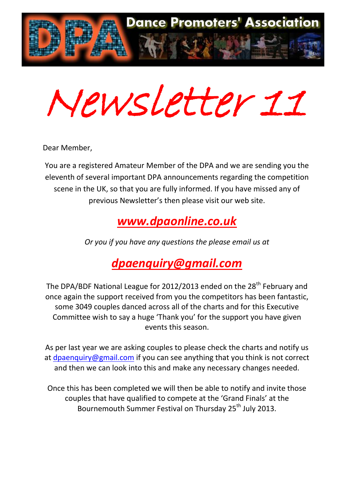

Newsletter 11

Dear Member,

You are a registered Amateur Member of the DPA and we are sending you the eleventh of several important DPA announcements regarding the competition scene in the UK, so that you are fully informed. If you have missed any of previous Newsletter's then please visit our web site.

## *[www.dpaonline.co.uk](http://www.dpaonline.co.uk/)*

*Or you if you have any questions the please email us at*

# *[dpaenquiry@gmail.com](mailto:dpaenquiry@gmail.com)*

The DPA/BDF National League for 2012/2013 ended on the 28<sup>th</sup> February and once again the support received from you the competitors has been fantastic, some 3049 couples danced across all of the charts and for this Executive Committee wish to say a huge 'Thank you' for the support you have given events this season.

As per last year we are asking couples to please check the charts and notify us at [dpaenquiry@gmail.com](mailto:dpaenquiry@gmail.com) if you can see anything that you think is not correct and then we can look into this and make any necessary changes needed.

Once this has been completed we will then be able to notify and invite those couples that have qualified to compete at the 'Grand Finals' at the Bournemouth Summer Festival on Thursday 25<sup>th</sup> July 2013.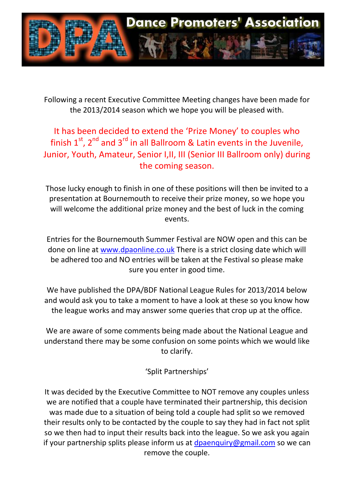

Following a recent Executive Committee Meeting changes have been made for the 2013/2014 season which we hope you will be pleased with.

### It has been decided to extend the 'Prize Money' to couples who finish  $1^{st}$ ,  $2^{nd}$  and  $3^{rd}$  in all Ballroom & Latin events in the Juvenile, Junior, Youth, Amateur, Senior I,II, III (Senior III Ballroom only) during the coming season.

Those lucky enough to finish in one of these positions will then be invited to a presentation at Bournemouth to receive their prize money, so we hope you will welcome the additional prize money and the best of luck in the coming events.

Entries for the Bournemouth Summer Festival are NOW open and this can be done on line at [www.dpaonline.co.uk](http://www.dpaonline.co.uk/) There is a strict closing date which will be adhered too and NO entries will be taken at the Festival so please make sure you enter in good time.

We have published the DPA/BDF National League Rules for 2013/2014 below and would ask you to take a moment to have a look at these so you know how the league works and may answer some queries that crop up at the office.

We are aware of some comments being made about the National League and understand there may be some confusion on some points which we would like to clarify.

### 'Split Partnerships'

It was decided by the Executive Committee to NOT remove any couples unless we are notified that a couple have terminated their partnership, this decision was made due to a situation of being told a couple had split so we removed their results only to be contacted by the couple to say they had in fact not split so we then had to input their results back into the league. So we ask you again if your partnership splits please inform us at [dpaenquiry@gmail.com](mailto:dpaenquiry@gmail.com) so we can remove the couple.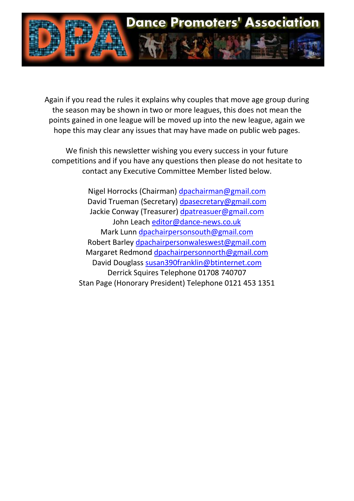

Again if you read the rules it explains why couples that move age group during the season may be shown in two or more leagues, this does not mean the points gained in one league will be moved up into the new league, again we hope this may clear any issues that may have made on public web pages.

We finish this newsletter wishing you every success in your future competitions and if you have any questions then please do not hesitate to contact any Executive Committee Member listed below.

> Nigel Horrocks (Chairman) [dpachairman@gmail.com](mailto:dpachairman@gmail.com) David Trueman (Secretary) [dpasecretary@gmail.com](mailto:dpasecretary@gmail.com) Jackie Conway (Treasurer) [dpatreasuer@gmail.com](mailto:dpatreasuer@gmail.com) John Leach [editor@dance-news.co.uk](mailto:editor@dance-news.co.uk) Mark Lunn [dpachairpersonsouth@gmail.com](mailto:dpachairpersonsouth@gmail.com) Robert Barley [dpachairpersonwaleswest@gmail.com](mailto:dpachairpersonwaleswest@gmail.com) Margaret Redmond [dpachairpersonnorth@gmail.com](mailto:dpachairpersonnorth@gmail.com) David Douglass [susan390franklin@btinternet.com](mailto:susan390franklin@btinternet.com) Derrick Squires Telephone 01708 740707 Stan Page (Honorary President) Telephone 0121 453 1351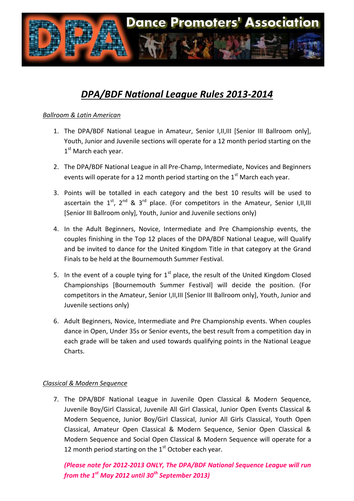

## *DPA/BDF National League Rules 2013-2014*

### *Ballroom & Latin American*

- 1. The DPA/BDF National League in Amateur, Senior I,II,III [Senior III Ballroom only], Youth, Junior and Juvenile sections will operate for a 12 month period starting on the 1<sup>st</sup> March each year.
- 2. The DPA/BDF National League in all Pre-Champ, Intermediate, Novices and Beginners events will operate for a 12 month period starting on the  $1<sup>st</sup>$  March each year.
- 3. Points will be totalled in each category and the best 10 results will be used to ascertain the  $1^{st}$ ,  $2^{nd}$  &  $3^{rd}$  place. (For competitors in the Amateur, Senior I,II,III [Senior III Ballroom only], Youth, Junior and Juvenile sections only)
- 4. In the Adult Beginners, Novice, Intermediate and Pre Championship events, the couples finishing in the Top 12 places of the DPA/BDF National League, will Qualify and be invited to dance for the United Kingdom Title in that category at the Grand Finals to be held at the Bournemouth Summer Festival.
- 5. In the event of a couple tying for  $1<sup>st</sup>$  place, the result of the United Kingdom Closed Championships [Bournemouth Summer Festival] will decide the position. (For competitors in the Amateur, Senior I,II,III [Senior III Ballroom only], Youth, Junior and Juvenile sections only)
- 6. Adult Beginners, Novice, Intermediate and Pre Championship events. When couples dance in Open, Under 35s or Senior events, the best result from a competition day in each grade will be taken and used towards qualifying points in the National League Charts.

### *Classical & Modern Sequence*

7. The DPA/BDF National League in Juvenile Open Classical & Modern Sequence, Juvenile Boy/Girl Classical, Juvenile All Girl Classical, Junior Open Events Classical & Modern Sequence, Junior Boy/Girl Classical, Junior All Girls Classical, Youth Open Classical, Amateur Open Classical & Modern Sequence, Senior Open Classical & Modern Sequence and Social Open Classical & Modern Sequence will operate for a 12 month period starting on the  $1<sup>st</sup>$  October each year.

*(Please note for 2012-2013 ONLY, The DPA/BDF National Sequence League will run from the 1st May 2012 until 30th September 2013)*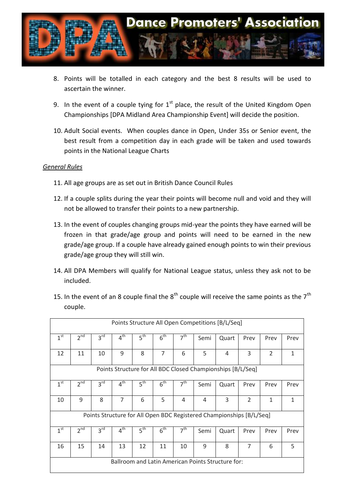

- 8. Points will be totalled in each category and the best 8 results will be used to ascertain the winner.
- 9. In the event of a couple tying for  $1<sup>st</sup>$  place, the result of the United Kingdom Open Championships [DPA Midland Area Championship Event] will decide the position.
- 10. Adult Social events. When couples dance in Open, Under 35s or Senior event, the best result from a competition day in each grade will be taken and used towards points in the National League Charts

#### *General Rules*

- 11. All age groups are as set out in British Dance Council Rules
- 12. If a couple splits during the year their points will become null and void and they will not be allowed to transfer their points to a new partnership.
- 13. In the event of couples changing groups mid-year the points they have earned will be frozen in that grade/age group and points will need to be earned in the new grade/age group. If a couple have already gained enough points to win their previous grade/age group they will still win.
- 14. All DPA Members will qualify for National League status, unless they ask not to be included.

| Points Structure All Open Competitions [B/L/Seq]                     |                 |                 |                 |                 |                 |                 |      |       |                |                |              |
|----------------------------------------------------------------------|-----------------|-----------------|-----------------|-----------------|-----------------|-----------------|------|-------|----------------|----------------|--------------|
| 1 <sup>st</sup>                                                      | 2 <sup>nd</sup> | 3 <sup>rd</sup> | 4 <sup>th</sup> | 5 <sup>th</sup> | 6 <sup>th</sup> | 7 <sup>th</sup> | Semi | Quart | Prev           | Prev           | Prev         |
| 12                                                                   | 11              | 10              | 9               | 8               | $\overline{7}$  | 6               | 5    | 4     | 3              | $\overline{2}$ | $\mathbf{1}$ |
| Points Structure for All BDC Closed Championships [B/L/Seq]          |                 |                 |                 |                 |                 |                 |      |       |                |                |              |
| 1 <sup>st</sup>                                                      | 2 <sup>nd</sup> | 3 <sup>rd</sup> | $4^{\text{th}}$ | 5 <sup>th</sup> | 6 <sup>th</sup> | 7 <sup>th</sup> | Semi | Quart | Prev           | Prev           | Prev         |
| 10                                                                   | 9               | 8               | 7               | 6               | 5               | 4               | 4    | 3     | $\overline{2}$ | 1              | 1            |
| Points Structure for All Open BDC Registered Championships [B/L/Seq] |                 |                 |                 |                 |                 |                 |      |       |                |                |              |
| 1 <sup>st</sup>                                                      | 2 <sup>nd</sup> | $3^{\text{rd}}$ | 4 <sup>th</sup> | 5 <sup>th</sup> | 6 <sup>th</sup> | 7 <sup>th</sup> | Semi | Quart | Prev           | Prev           | Prev         |
| 16                                                                   | 15              | 14              | 13              | 12              | 11              | 10              | 9    | 8     | $\overline{7}$ | 6              | 5            |
| Ballroom and Latin American Points Structure for:                    |                 |                 |                 |                 |                 |                 |      |       |                |                |              |

15. In the event of an 8 couple final the  $8^{th}$  couple will receive the same points as the  $7^{th}$ couple.